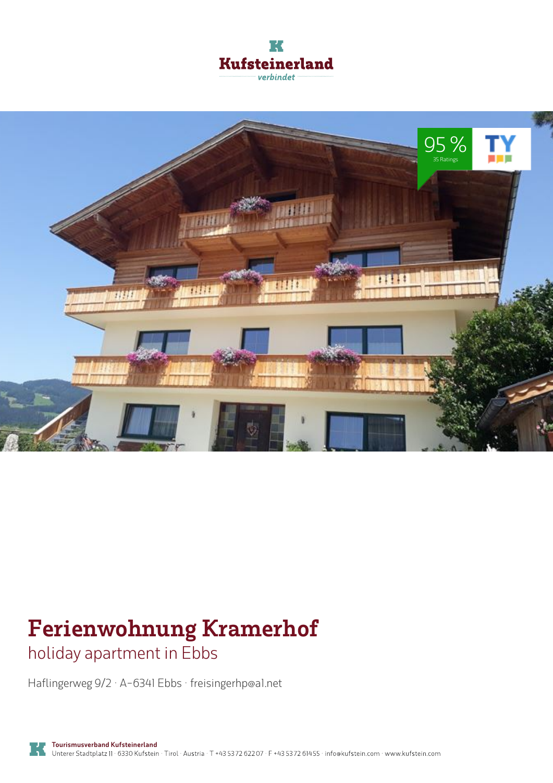



# **Ferienwohnung Kramerhof**

holiday apartment in Ebbs

Haflingerweg 9/2 · A-6341 Ebbs · **freisingerhp@a1.net**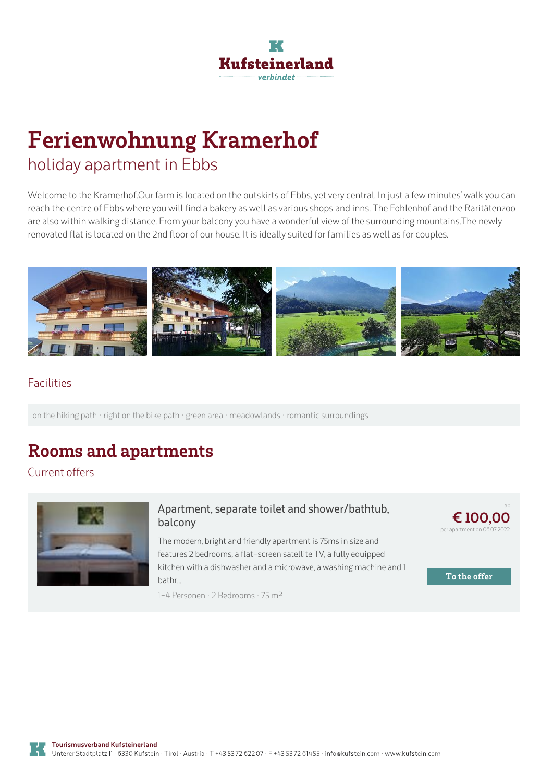

## **Ferienwohnung Kramerhof** holiday apartment in Ebbs

Welcome to the Kramerhof.Our farm is located on the outskirts of Ebbs, yet very central. In just a few minutes' walk you can reach the centre of Ebbs where you will find a bakery as well as various shops and inns. The Fohlenhof and the Raritätenzoo are also within walking distance. From your balcony you have a wonderful view of the surrounding mountains.The newly renovated flat is located on the 2nd floor of our house. It is ideally suited for families as well as for couples.



### Facilities

on the hiking path · right on the bike path · green area · meadowlands · romantic surroundings

### **Rooms and apartments**

Current offers



#### **Apartment, separate toilet and [shower/bathtub,](https://www.kufstein.com/en/book/ebbs/holiday-apartment/ferienwohnung-kramerhof.html?utm_medium=PDF&utm_campaign=Vermieter-Prospekt&utm_source=Ferienwohnung+Kramerhof) balcony**

The modern, bright and friendly apartment is 75ms in size and features 2 bedrooms, aflat-screen satellite TV, <sup>a</sup> fully equipped kitchen with <sup>a</sup> dishwasher and <sup>a</sup> microwave, <sup>a</sup> washing machine and 1 bathr...

1-4 Personen · 2 Bedrooms · 75 <sup>m</sup><sup>²</sup>



**To the offer**